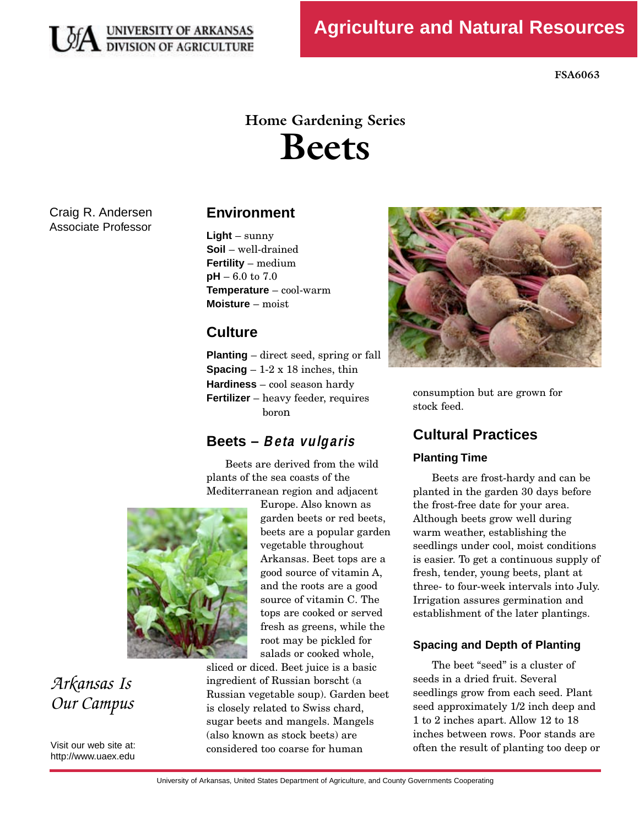

**FSA6063** 

# **Home Gardening Series Beets**

Craig R. Andersen Associate Professor

### **Environment**

**Light** – sunny **Soil** – well-drained **Fertility** – medium **pH** – 6.0 to 7.0 **Temperature** – cool-warm **Moisture** – moist

### **Culture**

**Planting** – direct seed, spring or fall **Spacing**  $-1-2 \times 18$  inches, thin **Hardiness** – cool season hardy **Fertilizer** – heavy feeder, requires<br>boron  $\frac{1}{2}$ 

## **Beets – Beta vulgaris**

Beets are derived from the wild<br>plants of the sea coasts of the Mediterranean region and adjacent



# *Arkansas Is Our Campus*

Visit our web site at: http://www.uaex.edu Europe. Also known as garden beets or red beets, beets are a popular garden vegetable throughout Arkansas. Beet tops are a good source of vitamin A, and the roots are a good source of vitamin C. The tops are cooked or served fresh as greens, while the root may be pickled for salads or cooked whole,

sliced or diced. Beet juice is a basic ingredient of Russian borscht (a Russian vegetable soup). Garden beet is closely related to Swiss chard, sugar beets and mangels. Mangels (also known as stock beets) are (also hnown as stock beets) are considered too coarse for human



consumption but are grown for  $s_{\text{total}}$  feed.

## **Cultural Practices**

#### **Planting Time**

Beets are frost-hardy and can be<br>planted in the garden 30 days before the frost-free date for your area. Although beets grow well during warm weather, establishing the seedlings under cool, moist conditions is easier. To get a continuous supply of fresh, tender, young beets, plant at three- to four-week intervals into July. Irrigation assures germination and Irrigation assures germination and establishment of the later plantings.

#### **Spacing and Depth of Planting**

The beet "seed" is a cluster of<br>seeds in a dried fruit. Several seedlings grow from each seed. Plant seed approximately 1/2 inch deep and 1 to 2 inches apart. Allow 12 to 18 inches between rows. Poor stands are  $\frac{1}{2}$   $\frac{1}{2}$   $\frac{1}{2}$   $\frac{1}{2}$   $\frac{1}{2}$   $\frac{1}{2}$   $\frac{1}{2}$   $\frac{1}{2}$   $\frac{1}{2}$   $\frac{1}{2}$   $\frac{1}{2}$   $\frac{1}{2}$   $\frac{1}{2}$   $\frac{1}{2}$   $\frac{1}{2}$   $\frac{1}{2}$   $\frac{1}{2}$   $\frac{1}{2}$   $\frac{1}{2}$   $\frac{1}{2}$   $\frac{1}{2}$   $\frac{1}{2}$  often the result of planting too deep or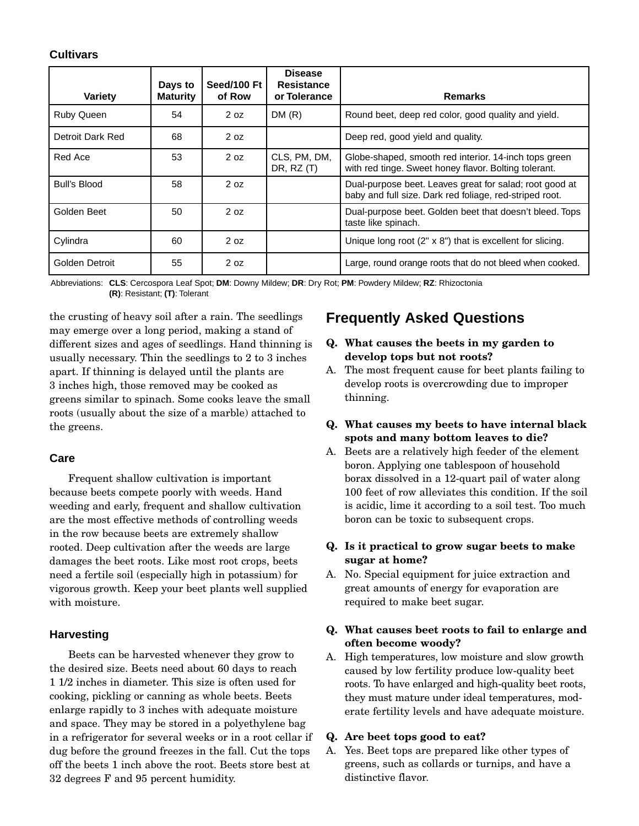#### **Cultivars**

| Variety           | Days to<br><b>Maturity</b> | Seed/100 Ft<br>of Row | <b>Disease</b><br><b>Resistance</b><br>or Tolerance | <b>Remarks</b>                                                                                                     |
|-------------------|----------------------------|-----------------------|-----------------------------------------------------|--------------------------------------------------------------------------------------------------------------------|
| <b>Ruby Queen</b> | 54                         | 2 oz                  | DM(R)                                               | Round beet, deep red color, good quality and yield.                                                                |
| Detroit Dark Red  | 68                         | 2 oz                  |                                                     | Deep red, good yield and quality.                                                                                  |
| Red Ace           | 53                         | 2 oz                  | CLS, PM, DM,<br>DR, $RZ(T)$                         | Globe-shaped, smooth red interior. 14-inch tops green<br>with red tinge. Sweet honey flavor. Bolting tolerant.     |
| Bull's Blood      | 58                         | 2 oz                  |                                                     | Dual-purpose beet. Leaves great for salad; root good at<br>baby and full size. Dark red foliage, red-striped root. |
| Golden Beet       | 50                         | 2 oz                  |                                                     | Dual-purpose beet. Golden beet that doesn't bleed. Tops<br>taste like spinach.                                     |
| Cylindra          | 60                         | 2 oz                  |                                                     | Unique long root $(2" \times 8")$ that is excellent for slicing.                                                   |
| Golden Detroit    | 55                         | 2 oz                  |                                                     | Large, round orange roots that do not bleed when cooked.                                                           |

 Abbreviations: **CLS**: Cercospora Leaf Spot; **DM**: Downy Mildew; **DR**: Dry Rot; **PM**: Powdery Mildew; **RZ**: Rhizoctonia **(R)**: Resistant; **(T)**: Tolerant

the crusting of heavy soil after a rain. The seedlings different sizes and ages of seedlings. Hand thinning is usually necessary. Thin the seedlings to 2 to 3 inches apart. If thinning is delayed until the plants are 3 inches high, those removed may be cooked as greens similar to spinach. Some cooks leave the small greens similar to spinach. Some cooks leave the small roots (usually about the size of a marble) attached to the greens.

#### **Care**

Frequent shallow cultivation is important<br>because beets compete poorly with weeds. Hand weeding and early, frequent and shallow cultivation are the most effective methods of controlling weeds in the row because beets are extremely shallow rooted. Deep cultivation after the weeds are large damages the beet roots. Like most root crops, beets need a fertile soil (especially high in potassium) for vigorous growth. Keep your beet plants well supplied vigorous growth. Keep your beet plants well supplied with moisture.

#### **Harvesting**

Beets can be harvested whenever they grow to<br>the desired size. Beets need about 60 days to reach  $11/2$  inches in diameter. This size is often used for cooking, pickling or canning as whole beets. Beets enlarge rapidly to 3 inches with adequate moisture. and space. They may be stored in a polyethylene bag in a refrigerator for several weeks or in a root cellar if dug before the ground freezes in the fall. Cut the tops off the beets 1 inch above the root. Beets store best at off the beets 1 inch above the root. Beets store best at 32 degrees F and 95 percent humidity.

# **Frequently Asked Questions**

- **Q. What causes the beets in my garden to develop tops but not roots?**
- A. The most frequent cause for beet plants failing to develop roots is overcrowding due to improper thinning.
- **Q. What causes my beets to have internal black spots and many bottom leaves to die?**
- A. Beets are a relatively high feeder of the element boron. Applying one tables poon of household borax dissolved in a 12-quart pail of water along 100 feet of row alleviates this condition. If the soil is acidic, lime it according to a soil test. Too much is acidic, into it according to a soil test. Too matri boron can be toxic to subsequent crops.

#### **Q. Is it practical to grow sugar beets to make sugar at home?**

A. No. Special equipment for juice extraction and great amounts of energy for evaporation are great amounts of energy for evaporation are required to make beet sugar.

#### **Q. What causes beet roots to fail to enlarge and often become woody?**

A. High temperatures, low moisture and slow growth roots. To have enlarged and high-quality beet roots, they must muture under ideal temperatures, modroots. To have enlarged and high-quality beet roots, erate fertility levels and have adequate moisture.

#### **Q. Are beet tops good to eat?**

A. Yes. Beet tops are prepared like other types of greens, such as collards or turnips, and have a distinctive flavor. distinctive flavor.